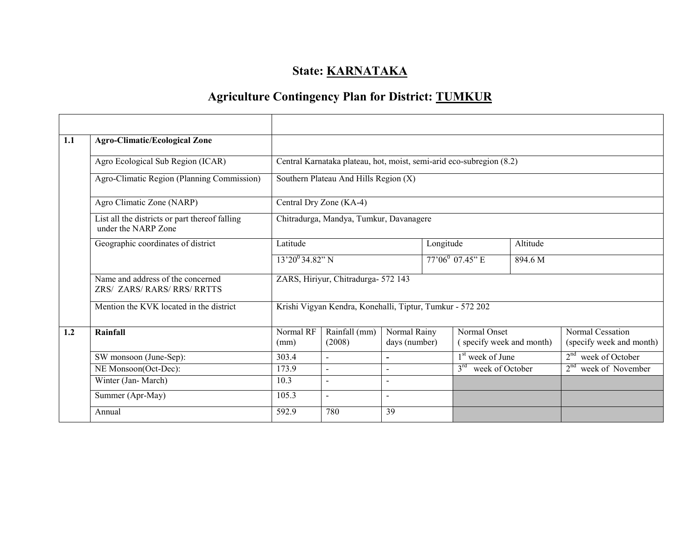# State: **KARNATAKA**

# Agriculture Contingency Plan for District: TUMKUR

| 1.1 | <b>Agro-Climatic/Ecological Zone</b>                                  |                                         |                                                                      |                               |           |                                                  |          |                                              |  |  |
|-----|-----------------------------------------------------------------------|-----------------------------------------|----------------------------------------------------------------------|-------------------------------|-----------|--------------------------------------------------|----------|----------------------------------------------|--|--|
|     | Agro Ecological Sub Region (ICAR)                                     |                                         | Central Karnataka plateau, hot, moist, semi-arid eco-subregion (8.2) |                               |           |                                                  |          |                                              |  |  |
|     | Agro-Climatic Region (Planning Commission)                            |                                         | Southern Plateau And Hills Region (X)                                |                               |           |                                                  |          |                                              |  |  |
|     | Agro Climatic Zone (NARP)                                             |                                         | Central Dry Zone (KA-4)                                              |                               |           |                                                  |          |                                              |  |  |
|     | List all the districts or part thereof falling<br>under the NARP Zone | Chitradurga, Mandya, Tumkur, Davanagere |                                                                      |                               |           |                                                  |          |                                              |  |  |
|     | Geographic coordinates of district                                    | Latitude                                |                                                                      |                               | Longitude |                                                  | Altitude |                                              |  |  |
|     |                                                                       | $13'20^034.82"$ N                       |                                                                      |                               |           | $77^{\circ}06^{\circ}07.45^{\circ}$ E<br>894.6 M |          |                                              |  |  |
|     | Name and address of the concerned<br>ZRS/ ZARS/RARS/RRS/RRTTS         |                                         | ZARS, Hiriyur, Chitradurga- 572 143                                  |                               |           |                                                  |          |                                              |  |  |
|     | Mention the KVK located in the district                               |                                         | Krishi Vigyan Kendra, Konehalli, Tiptur, Tumkur - 572 202            |                               |           |                                                  |          |                                              |  |  |
| 1.2 | Rainfall                                                              | Normal RF<br>(mm)                       | Rainfall (mm)<br>(2008)                                              | Normal Rainy<br>days (number) |           | Normal Onset<br>(specify week and month)         |          | Normal Cessation<br>(specify week and month) |  |  |
|     | SW monsoon (June-Sep):                                                | 303.4                                   | $\sim$                                                               | $\overline{\phantom{a}}$      |           | 1 <sup>st</sup> week of June                     |          | $2nd$ week of October                        |  |  |
|     | NE Monsoon(Oct-Dec):                                                  | 173.9                                   | $\sim$                                                               |                               |           | $3^{\text{rd}}$<br>week of October               |          | 2 <sup>nd</sup><br>week of November          |  |  |
|     | Winter (Jan-March)                                                    | 10.3                                    | $\sim$                                                               | $\sim$                        |           |                                                  |          |                                              |  |  |
|     | Summer (Apr-May)                                                      | 105.3                                   | $\sim$                                                               | $\blacksquare$                |           |                                                  |          |                                              |  |  |
|     | Annual                                                                | 592.9                                   | 780                                                                  | 39                            |           |                                                  |          |                                              |  |  |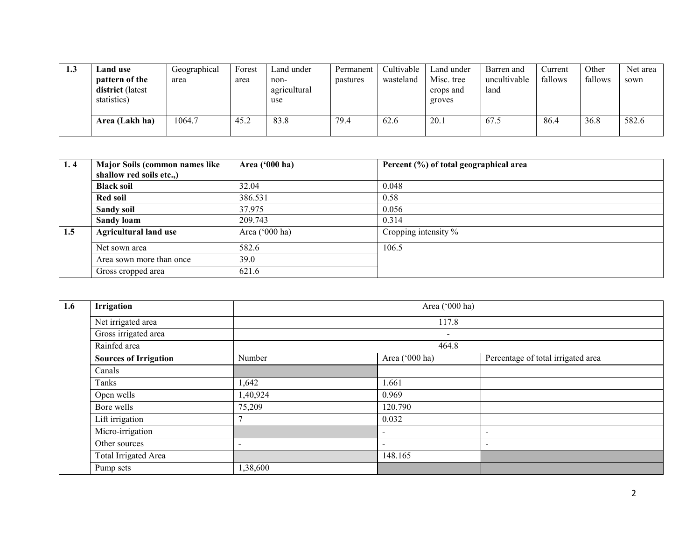| 1.3 | <b>Land use</b><br>pattern of the | Geographical<br>area | Forest<br>area | Land under<br>non-  | Permanent<br>pastures | Cultivable<br>wasteland | Land under<br>Misc. tree | Barren and<br>uncultivable | Current<br>fallows | Other<br>fallows | Net area<br>sown |
|-----|-----------------------------------|----------------------|----------------|---------------------|-----------------------|-------------------------|--------------------------|----------------------------|--------------------|------------------|------------------|
|     | district (latest<br>statistics)   |                      |                | agricultural<br>use |                       |                         | crops and<br>groves      | land                       |                    |                  |                  |
|     | Area (Lakh ha)                    | 1064.7               | 45.2           | 83.8                | 79.4                  | 62.6                    | 20.1                     | 67.5                       | 86.4               | 36.8             | 582.6            |

| 1.4 | Major Soils (common names like                   | Area $('000 ha)$ | Percent (%) of total geographical area |
|-----|--------------------------------------------------|------------------|----------------------------------------|
|     | shallow red soils etc.,)                         |                  |                                        |
|     | <b>Black soil</b>                                | 32.04            | 0.048                                  |
|     | <b>Red soil</b>                                  | 386.531          | 0.58                                   |
|     | <b>Sandy soil</b>                                | 37.975           | 0.056                                  |
|     | Sandy loam                                       | 209.743          | 0.314                                  |
| 1.5 | Area $('000 ha)$<br><b>Agricultural land use</b> |                  | Cropping intensity %                   |
|     | Net sown area                                    | 582.6            | 106.5                                  |
|     | Area sown more than once                         | <b>39.0</b>      |                                        |
|     | Gross cropped area                               | 621.6            |                                        |

| 1.6 | Irrigation                   |                          | Area ('000 ha)           |                                    |
|-----|------------------------------|--------------------------|--------------------------|------------------------------------|
|     | Net irrigated area           |                          | 117.8                    |                                    |
|     | Gross irrigated area         |                          | $\blacksquare$           |                                    |
|     | Rainfed area                 |                          | 464.8                    |                                    |
|     | <b>Sources of Irrigation</b> | Number                   | Area ('000 ha)           | Percentage of total irrigated area |
|     | Canals                       |                          |                          |                                    |
|     | Tanks                        | 1,642                    | .661                     |                                    |
|     | Open wells                   | 1,40,924                 | 0.969                    |                                    |
|     | Bore wells                   | 75,209                   | 120.790                  |                                    |
|     | Lift irrigation              | $\mathbf{r}$             | 0.032                    |                                    |
|     | Micro-irrigation             |                          | $\,$                     | $\overline{\phantom{a}}$           |
|     | Other sources                | $\overline{\phantom{a}}$ | $\overline{\phantom{a}}$ |                                    |
|     | <b>Total Irrigated Area</b>  |                          | 148.165                  |                                    |
|     | Pump sets                    | 1,38,600                 |                          |                                    |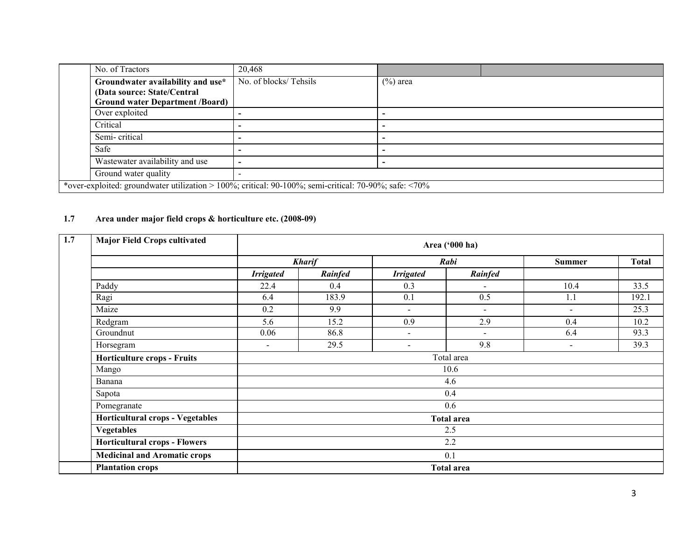| No. of Tractors                        | 20,468                                                                                                |             |  |  |  |
|----------------------------------------|-------------------------------------------------------------------------------------------------------|-------------|--|--|--|
| Groundwater availability and use*      | No. of blocks/Tehsils                                                                                 | $(\%)$ area |  |  |  |
| (Data source: State/Central            |                                                                                                       |             |  |  |  |
| <b>Ground water Department /Board)</b> |                                                                                                       |             |  |  |  |
| Over exploited                         |                                                                                                       |             |  |  |  |
| Critical                               | -                                                                                                     |             |  |  |  |
| Semi-critical                          | -                                                                                                     |             |  |  |  |
| Safe                                   |                                                                                                       |             |  |  |  |
| Wastewater availability and use        | $\overline{\phantom{a}}$                                                                              |             |  |  |  |
| Ground water quality                   |                                                                                                       |             |  |  |  |
|                                        | *over-exploited: groundwater utilization > 100%; critical: 90-100%; semi-critical: 70-90%; safe: <70% |             |  |  |  |

### 1.7 Area under major field crops & horticulture etc. (2008-09)

| <b>Major Field Crops cultivated</b>  |                          |               |                          | Area ('000 ha)    |                |              |  |
|--------------------------------------|--------------------------|---------------|--------------------------|-------------------|----------------|--------------|--|
|                                      |                          | <b>Kharif</b> |                          | Rabi              | <b>Summer</b>  | <b>Total</b> |  |
|                                      | <b>Irrigated</b>         | Rainfed       | <b>Irrigated</b>         | Rainfed           |                |              |  |
| Paddy                                | 22.4                     | 0.4           | 0.3                      | $\sim$            | 10.4           | 33.5         |  |
| Ragi                                 | 6.4                      | 183.9         | 0.1                      | 0.5               | 1.1            | 192.1        |  |
| Maize                                | 0.2                      | 9.9           | $\sim$                   | $\sim$            | $\blacksquare$ | 25.3         |  |
| Redgram                              | 5.6                      | 15.2          | 0.9                      | 2.9               | 0.4            | 10.2         |  |
| Groundnut                            | 0.06                     | 86.8          |                          | $\blacksquare$    | 6.4            | 93.3         |  |
| Horsegram                            | $\overline{\phantom{a}}$ | 29.5          | $\overline{\phantom{a}}$ | 9.8               | $\blacksquare$ | 39.3         |  |
| Horticulture crops - Fruits          | Total area               |               |                          |                   |                |              |  |
| Mango                                |                          |               |                          | 10.6              |                |              |  |
| Banana                               |                          |               |                          | 4.6               |                |              |  |
| Sapota                               |                          |               |                          | 0.4               |                |              |  |
| Pomegranate                          |                          |               |                          | 0.6               |                |              |  |
| Horticultural crops - Vegetables     |                          |               |                          | <b>Total area</b> |                |              |  |
| <b>Vegetables</b>                    |                          |               |                          | 2.5               |                |              |  |
| <b>Horticultural crops - Flowers</b> |                          |               |                          | 2.2               |                |              |  |
| <b>Medicinal and Aromatic crops</b>  | 0.1                      |               |                          |                   |                |              |  |
| <b>Plantation crops</b>              |                          |               |                          | <b>Total area</b> |                |              |  |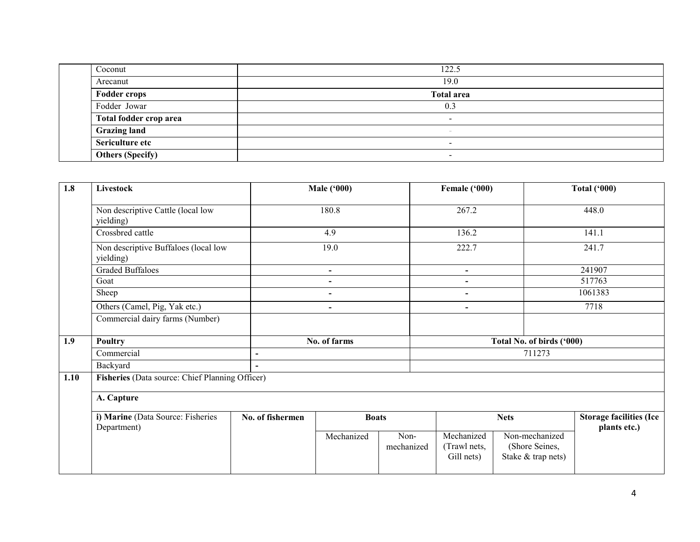| Coconut                 |                        | 122.5             |  |
|-------------------------|------------------------|-------------------|--|
| Arecanut                |                        | 19.0              |  |
| <b>Fodder crops</b>     |                        | <b>Total area</b> |  |
| Fodder Jowar            |                        | 0.3               |  |
|                         | Total fodder crop area | $\blacksquare$    |  |
| <b>Grazing land</b>     |                        | $\sim$            |  |
| Sericulture etc         |                        | $\blacksquare$    |  |
| <b>Others (Specify)</b> |                        | $\sim$            |  |

| 1.8  | Livestock                                         |                          | <b>Male ('000)</b>       |                    | Female ('000)                            |                                                        | <b>Total ('000)</b>                            |
|------|---------------------------------------------------|--------------------------|--------------------------|--------------------|------------------------------------------|--------------------------------------------------------|------------------------------------------------|
|      | Non descriptive Cattle (local low<br>yielding)    |                          | 180.8                    |                    |                                          |                                                        | 448.0                                          |
|      | Crossbred cattle                                  |                          | 4.9                      |                    |                                          |                                                        | 141.1                                          |
|      | Non descriptive Buffaloes (local low<br>yielding) |                          | 19.0                     |                    |                                          |                                                        | 241.7                                          |
|      | <b>Graded Buffaloes</b>                           |                          | $\blacksquare$           |                    |                                          |                                                        | 241907                                         |
|      | Goat                                              |                          | $\blacksquare$           |                    | $\blacksquare$                           |                                                        | 517763                                         |
|      | Sheep                                             |                          | $\overline{\phantom{0}}$ |                    | $\overline{\phantom{0}}$                 |                                                        | 1061383                                        |
|      | Others (Camel, Pig, Yak etc.)                     |                          | $\blacksquare$           |                    |                                          | $\blacksquare$                                         |                                                |
|      | Commercial dairy farms (Number)                   |                          |                          |                    |                                          |                                                        |                                                |
| 1.9  | <b>Poultry</b>                                    |                          | No. of farms             |                    |                                          | Total No. of birds ('000)                              |                                                |
|      | Commercial                                        | $\overline{\phantom{a}}$ |                          |                    |                                          | 711273                                                 |                                                |
|      | Backyard                                          |                          |                          |                    |                                          |                                                        |                                                |
| 1.10 | Fisheries (Data source: Chief Planning Officer)   |                          |                          |                    |                                          |                                                        |                                                |
|      | A. Capture                                        |                          |                          |                    |                                          |                                                        |                                                |
|      | i) Marine (Data Source: Fisheries<br>Department)  | No. of fishermen         | <b>Boats</b>             |                    |                                          | <b>Nets</b>                                            | <b>Storage facilities (Ice</b><br>plants etc.) |
|      |                                                   |                          | Mechanized               | Non-<br>mechanized | Mechanized<br>(Trawl nets,<br>Gill nets) | Non-mechanized<br>(Shore Seines,<br>Stake & trap nets) |                                                |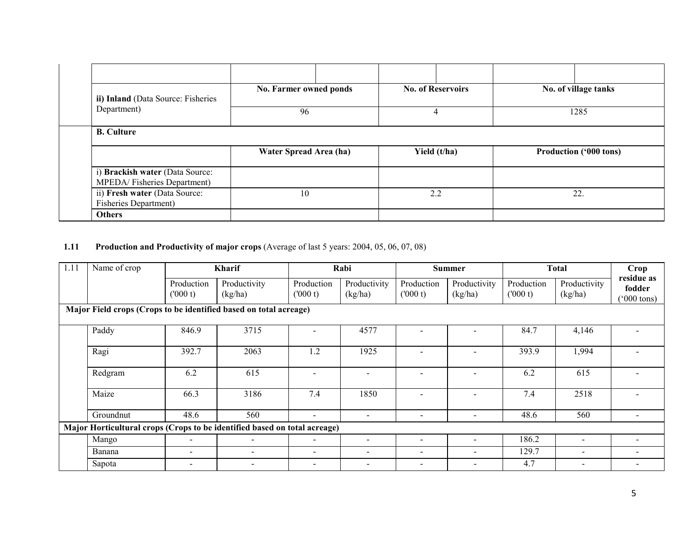| ii) Inland (Data Source: Fisheries                             | No. Farmer owned ponds | <b>No. of Reservoirs</b> | No. of village tanks<br>1285  |  |  |  |  |  |
|----------------------------------------------------------------|------------------------|--------------------------|-------------------------------|--|--|--|--|--|
| Department)                                                    | 96                     |                          |                               |  |  |  |  |  |
| <b>B.</b> Culture                                              |                        |                          |                               |  |  |  |  |  |
|                                                                | Water Spread Area (ha) |                          |                               |  |  |  |  |  |
|                                                                |                        | Yield (t/ha)             | <b>Production ('000 tons)</b> |  |  |  |  |  |
| i) Brackish water (Data Source:<br>MPEDA/Fisheries Department) |                        |                          |                               |  |  |  |  |  |
| ii) Fresh water (Data Source:<br><b>Fisheries Department)</b>  | 10                     | 2.2                      | 22.                           |  |  |  |  |  |

#### **1.11** Production and Productivity of major crops (Average of last 5 years: 2004, 05, 06, 07, 08)

| 1.11 | Name of crop                                                              | Kharif                   |                          |                          | Rabi                     |                          | Summer                   | <b>Total</b>          |                          | Crop                                  |  |  |
|------|---------------------------------------------------------------------------|--------------------------|--------------------------|--------------------------|--------------------------|--------------------------|--------------------------|-----------------------|--------------------------|---------------------------------------|--|--|
|      |                                                                           | Production<br>(000 t)    | Productivity<br>(kg/ha)  | Production<br>(000 t)    | Productivity<br>(kg/ha)  | Production<br>(000 t)    | Productivity<br>(kg/ha)  | Production<br>(000 t) | Productivity<br>(kg/ha)  | residue as<br>fodder<br>$(°000$ tons) |  |  |
|      | Major Field crops (Crops to be identified based on total acreage)         |                          |                          |                          |                          |                          |                          |                       |                          |                                       |  |  |
|      | Paddy                                                                     | 846.9                    | 3715                     |                          | 4577                     |                          |                          | 84.7                  | 4,146                    |                                       |  |  |
|      | Ragi                                                                      | 392.7                    | 2063                     | 1.2                      | 1925                     |                          | $\overline{\phantom{0}}$ | 393.9                 | 1,994                    |                                       |  |  |
|      | Redgram                                                                   | 6.2                      | 615                      |                          | $\overline{\phantom{a}}$ |                          |                          | 6.2                   | 615                      |                                       |  |  |
|      | Maize                                                                     | 66.3                     | 3186                     | 7.4                      | 1850                     |                          |                          | 7.4                   | 2518                     |                                       |  |  |
|      | Groundnut                                                                 | 48.6                     | 560                      | $\sim$                   | $\overline{\phantom{a}}$ | $\overline{\phantom{a}}$ | $\overline{\phantom{a}}$ | 48.6                  | 560                      | $\overline{\phantom{a}}$              |  |  |
|      | Major Horticultural crops (Crops to be identified based on total acreage) |                          |                          |                          |                          |                          |                          |                       |                          |                                       |  |  |
|      | Mango                                                                     | $\sim$                   | -                        | $\overline{\phantom{a}}$ | $\overline{\phantom{a}}$ |                          | $\overline{\phantom{a}}$ | 186.2                 |                          | $\overline{\phantom{a}}$              |  |  |
|      | Banana                                                                    | $\overline{\phantom{a}}$ | $\overline{\phantom{a}}$ | $\overline{\phantom{a}}$ | $\overline{\phantom{a}}$ | $\overline{\phantom{a}}$ | $\overline{\phantom{a}}$ | 129.7                 | $\overline{\phantom{0}}$ | $\overline{\phantom{a}}$              |  |  |
|      | Sapota                                                                    | -                        |                          |                          |                          |                          | $\overline{\phantom{a}}$ | 4.7                   |                          | $\overline{\phantom{a}}$              |  |  |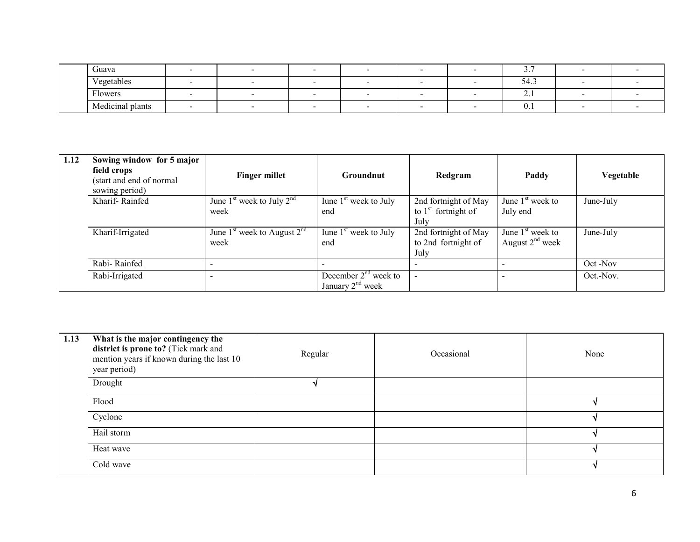| Guava                        |  |  |  | <u>.</u>       |  |
|------------------------------|--|--|--|----------------|--|
| $\mathbf{r}$<br>Vegetables   |  |  |  | 94.J           |  |
| $\sim$<br>Flowers            |  |  |  | $\overline{a}$ |  |
| $\cdots$<br>Medicinal plants |  |  |  | $v \cdot r$    |  |

| 1.12 | Sowing window for 5 major<br>field crops<br>(start and end of normal<br>sowing period) | <b>Finger millet</b>                    | Groundnut                                    | Redgram                                               | Paddy                                   | Vegetable |
|------|----------------------------------------------------------------------------------------|-----------------------------------------|----------------------------------------------|-------------------------------------------------------|-----------------------------------------|-----------|
|      | Kharif-Rainfed                                                                         | June $1st$ week to July $2nd$<br>week   | Iune $1st$ week to July<br>end               | 2nd fortnight of May<br>to $1st$ fortnight of<br>July | June $1st$ week to<br>July end          | June-July |
|      | Kharif-Irrigated                                                                       | June $1st$ week to August $2nd$<br>week | Iune $1st$ week to July<br>end               | 2nd fortnight of May<br>to 2nd fortnight of<br>July   | June $1st$ week to<br>August $2nd$ week | June-July |
|      | Rabi-Rainfed                                                                           | $\overline{\phantom{0}}$                |                                              |                                                       |                                         | Oct -Nov  |
|      | Rabi-Irrigated                                                                         | $\overline{\phantom{0}}$                | December $2nd$ week to<br>January $2nd$ week |                                                       |                                         | Oct.-Nov. |

| 1.13 | What is the major contingency the<br>district is prone to? (Tick mark and<br>mention years if known during the last 10<br>year period) | Regular | Occasional | None |
|------|----------------------------------------------------------------------------------------------------------------------------------------|---------|------------|------|
|      | Drought                                                                                                                                |         |            |      |
|      | Flood                                                                                                                                  |         |            |      |
|      | Cyclone                                                                                                                                |         |            |      |
|      | Hail storm                                                                                                                             |         |            |      |
|      | Heat wave                                                                                                                              |         |            |      |
|      | Cold wave                                                                                                                              |         |            |      |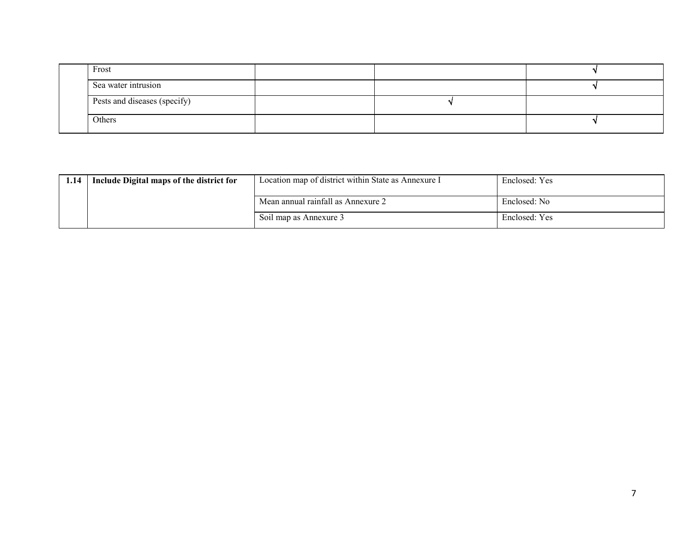| Frost                        |  |  |
|------------------------------|--|--|
| Sea water intrusion          |  |  |
| Pests and diseases (specify) |  |  |
| Others                       |  |  |

| 1.14 | Include Digital maps of the district for | Location map of district within State as Annexure I | Enclosed: Yes |
|------|------------------------------------------|-----------------------------------------------------|---------------|
|      |                                          | Mean annual rainfall as Annexure 2                  | Enclosed: No  |
|      |                                          | Soil map as Annexure 3                              | Enclosed: Yes |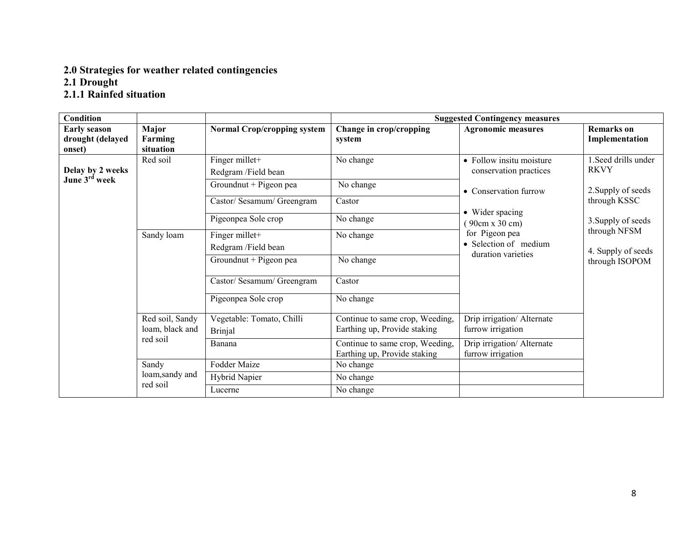# 2.0 Strategies for weather related contingencies 2.1 Drought 2.1.1 Rainfed situation

| Condition                                         |                                                |                                                                 |                                                                                                                                    | <b>Suggested Contingency measures</b>                                                                                                                                                 |                                                           |
|---------------------------------------------------|------------------------------------------------|-----------------------------------------------------------------|------------------------------------------------------------------------------------------------------------------------------------|---------------------------------------------------------------------------------------------------------------------------------------------------------------------------------------|-----------------------------------------------------------|
| <b>Early season</b><br>drought (delayed<br>onset) | Major<br>Farming<br>situation                  | <b>Normal Crop/cropping system</b>                              | Change in crop/cropping<br>system                                                                                                  | <b>Agronomic measures</b>                                                                                                                                                             | <b>Remarks</b> on<br>Implementation                       |
| Delay by 2 weeks<br>June 3rd week                 | Red soil                                       | Finger millet+<br>Redgram /Field bean<br>Groundnut + Pigeon pea | No change<br>No change                                                                                                             | • Follow insitu moisture<br>conservation practices<br>• Conservation furrow<br>• Wider spacing<br>$90cm \times 30cm$<br>for Pigeon pea<br>• Selection of medium<br>duration varieties | 1. Seed drills under<br><b>RKVY</b><br>2. Supply of seeds |
|                                                   |                                                | Castor/ Sesamum/ Greengram<br>Pigeonpea Sole crop               | Castor<br>No change                                                                                                                |                                                                                                                                                                                       | through KSSC<br>3. Supply of seeds                        |
|                                                   | Sandy loam                                     | Finger millet+<br>Redgram/Field bean<br>Groundnut + Pigeon pea  | No change<br>No change                                                                                                             |                                                                                                                                                                                       | through NFSM<br>4. Supply of seeds<br>through ISOPOM      |
|                                                   |                                                | Castor/ Sesamum/ Greengram<br>Pigeonpea Sole crop               | Castor<br>No change                                                                                                                |                                                                                                                                                                                       |                                                           |
|                                                   | Red soil, Sandy<br>loam, black and<br>red soil | Vegetable: Tomato, Chilli<br><b>Brinjal</b><br>Banana           | Continue to same crop, Weeding,<br>Earthing up, Provide staking<br>Continue to same crop, Weeding,<br>Earthing up, Provide staking | Drip irrigation/ Alternate<br>furrow irrigation<br>Drip irrigation/ Alternate<br>furrow irrigation                                                                                    |                                                           |
|                                                   | Sandy<br>loam, sandy and<br>red soil           | Fodder Maize<br>Hybrid Napier<br>Lucerne                        | No change<br>No change<br>No change                                                                                                |                                                                                                                                                                                       |                                                           |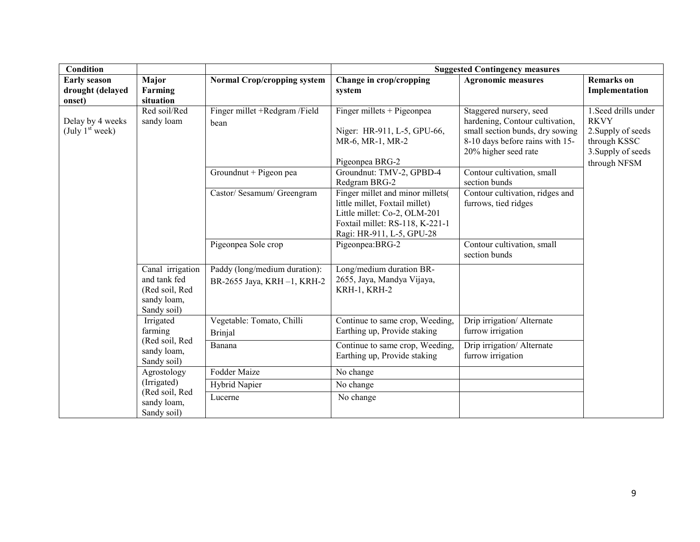| Condition                                         |                                                                                  |                                                             | <b>Suggested Contingency measures</b>                                                                                                                              |                                                                                                                                                          |                                                                                                                 |  |
|---------------------------------------------------|----------------------------------------------------------------------------------|-------------------------------------------------------------|--------------------------------------------------------------------------------------------------------------------------------------------------------------------|----------------------------------------------------------------------------------------------------------------------------------------------------------|-----------------------------------------------------------------------------------------------------------------|--|
| <b>Early season</b><br>drought (delayed<br>onset) | Major<br>Farming<br>situation                                                    | <b>Normal Crop/cropping system</b>                          | Change in crop/cropping<br>system                                                                                                                                  | <b>Agronomic measures</b>                                                                                                                                | <b>Remarks</b> on<br>Implementation                                                                             |  |
| Delay by 4 weeks<br>(July 1 <sup>st</sup> week)   | Red soil/Red<br>sandy loam                                                       | Finger millet +Redgram /Field<br>bean                       | Finger millets + Pigeonpea<br>Niger: HR-911, L-5, GPU-66,<br>MR-6, MR-1, MR-2<br>Pigeonpea BRG-2                                                                   | Staggered nursery, seed<br>hardening, Contour cultivation,<br>small section bunds, dry sowing<br>8-10 days before rains with 15-<br>20% higher seed rate | 1. Seed drills under<br><b>RKVY</b><br>2. Supply of seeds<br>through KSSC<br>3. Supply of seeds<br>through NFSM |  |
|                                                   |                                                                                  | Groundnut + Pigeon pea                                      | Groundnut: TMV-2, GPBD-4<br>Redgram BRG-2                                                                                                                          | Contour cultivation, small<br>section bunds                                                                                                              |                                                                                                                 |  |
|                                                   |                                                                                  | Castor/ Sesamum/ Greengram                                  | Finger millet and minor millets(<br>little millet, Foxtail millet)<br>Little millet: Co-2, OLM-201<br>Foxtail millet: RS-118, K-221-1<br>Ragi: HR-911, L-5, GPU-28 | Contour cultivation, ridges and<br>furrows, tied ridges                                                                                                  |                                                                                                                 |  |
|                                                   |                                                                                  | Pigeonpea Sole crop                                         | $\overline{Pige}$ onpea:BRG-2                                                                                                                                      | Contour cultivation, small<br>section bunds                                                                                                              |                                                                                                                 |  |
|                                                   | Canal irrigation<br>and tank fed<br>(Red soil, Red<br>sandy loam,<br>Sandy soil) | Paddy (long/medium duration):<br>BR-2655 Jaya, KRH-1, KRH-2 | Long/medium duration BR-<br>2655, Jaya, Mandya Vijaya,<br>KRH-1, KRH-2                                                                                             |                                                                                                                                                          |                                                                                                                 |  |
|                                                   | Irrigated<br>farming                                                             | Vegetable: Tomato, Chilli<br><b>Brinjal</b>                 | Continue to same crop, Weeding,<br>Earthing up, Provide staking                                                                                                    | Drip irrigation/ Alternate<br>furrow irrigation                                                                                                          |                                                                                                                 |  |
|                                                   | (Red soil, Red<br>sandy loam,<br>Sandy soil)                                     | Banana                                                      | Continue to same crop, Weeding,<br>Earthing up, Provide staking                                                                                                    | Drip irrigation/ Alternate<br>furrow irrigation                                                                                                          |                                                                                                                 |  |
|                                                   | Agrostology                                                                      | Fodder Maize                                                | No change                                                                                                                                                          |                                                                                                                                                          |                                                                                                                 |  |
|                                                   | (Irrigated)                                                                      | Hybrid Napier                                               | No change                                                                                                                                                          |                                                                                                                                                          |                                                                                                                 |  |
|                                                   | (Red soil, Red<br>sandy loam,<br>Sandy soil)                                     | Lucerne                                                     | No change                                                                                                                                                          |                                                                                                                                                          |                                                                                                                 |  |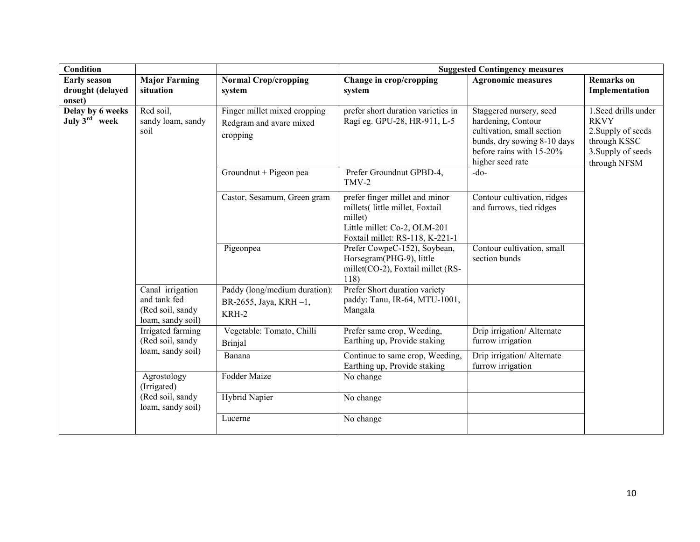| <b>Condition</b>                           |                                                                           |                                                                     |                                                                                                                                                | <b>Suggested Contingency measures</b>                                                                                                                      |                                                                                                                 |
|--------------------------------------------|---------------------------------------------------------------------------|---------------------------------------------------------------------|------------------------------------------------------------------------------------------------------------------------------------------------|------------------------------------------------------------------------------------------------------------------------------------------------------------|-----------------------------------------------------------------------------------------------------------------|
| Early season<br>drought (delayed<br>onset) | <b>Major Farming</b><br>situation                                         | <b>Normal Crop/cropping</b><br>system                               | Change in crop/cropping<br>system                                                                                                              | <b>Agronomic measures</b>                                                                                                                                  | <b>Remarks</b> on<br>Implementation                                                                             |
| Delay by 6 weeks<br>July $3rd$ week        | Red soil,<br>sandy loam, sandy<br>soil                                    | Finger millet mixed cropping<br>Redgram and avare mixed<br>cropping | prefer short duration varieties in<br>Ragi eg. GPU-28, HR-911, L-5                                                                             | Staggered nursery, seed<br>hardening, Contour<br>cultivation, small section<br>bunds, dry sowing 8-10 days<br>before rains with 15-20%<br>higher seed rate | 1. Seed drills under<br><b>RKVY</b><br>2. Supply of seeds<br>through KSSC<br>3. Supply of seeds<br>through NFSM |
|                                            |                                                                           | Groundnut + Pigeon pea                                              | Prefer Groundnut GPBD-4,<br>TMV-2                                                                                                              | $-do-$                                                                                                                                                     |                                                                                                                 |
|                                            |                                                                           | Castor, Sesamum, Green gram                                         | prefer finger millet and minor<br>millets(little millet, Foxtail<br>millet)<br>Little millet: Co-2, OLM-201<br>Foxtail millet: RS-118, K-221-1 | Contour cultivation, ridges<br>and furrows, tied ridges                                                                                                    |                                                                                                                 |
|                                            |                                                                           | Pigeonpea                                                           | Prefer CowpeC-152), Soybean,<br>Horsegram(PHG-9), little<br>millet(CO-2), Foxtail millet (RS-<br>118)                                          | Contour cultivation, small<br>section bunds                                                                                                                |                                                                                                                 |
|                                            | Canal irrigation<br>and tank fed<br>(Red soil, sandy<br>loam, sandy soil) | Paddy (long/medium duration):<br>BR-2655, Jaya, KRH $-1$ ,<br>KRH-2 | Prefer Short duration variety<br>paddy: Tanu, IR-64, MTU-1001,<br>Mangala                                                                      |                                                                                                                                                            |                                                                                                                 |
|                                            | Irrigated farming<br>(Red soil, sandy                                     | Vegetable: Tomato, Chilli<br><b>Brinjal</b>                         | Prefer same crop, Weeding,<br>Earthing up, Provide staking                                                                                     | Drip irrigation/ Alternate<br>furrow irrigation                                                                                                            |                                                                                                                 |
|                                            | loam, sandy soil)                                                         | Banana                                                              | Continue to same crop, Weeding,<br>Earthing up, Provide staking                                                                                | Drip irrigation/ Alternate<br>furrow irrigation                                                                                                            |                                                                                                                 |
|                                            | Agrostology<br>(Irrigated)                                                | <b>Fodder Maize</b>                                                 | No change                                                                                                                                      |                                                                                                                                                            |                                                                                                                 |
|                                            | (Red soil, sandy<br>loam, sandy soil)                                     | Hybrid Napier                                                       | No change                                                                                                                                      |                                                                                                                                                            |                                                                                                                 |
|                                            |                                                                           | Lucerne                                                             | No change                                                                                                                                      |                                                                                                                                                            |                                                                                                                 |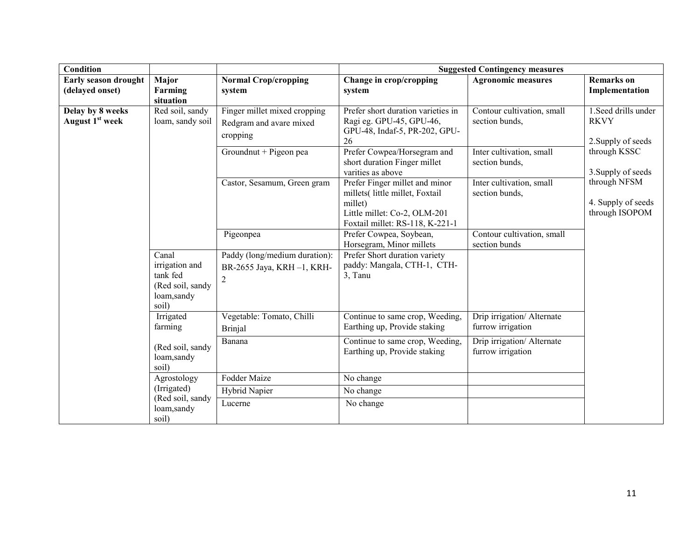| <b>Condition</b>                                |                                                                                |                                                                              |                                                                                                                                                | <b>Suggested Contingency measures</b>           |                                                           |
|-------------------------------------------------|--------------------------------------------------------------------------------|------------------------------------------------------------------------------|------------------------------------------------------------------------------------------------------------------------------------------------|-------------------------------------------------|-----------------------------------------------------------|
| Early season drought<br>(delayed onset)         | Major<br>Farming<br>situation                                                  | <b>Normal Crop/cropping</b><br>system                                        | Change in crop/cropping<br>system                                                                                                              | <b>Agronomic measures</b>                       | <b>Remarks</b> on<br>Implementation                       |
| Delay by 8 weeks<br>August 1 <sup>st</sup> week | Red soil, sandy<br>loam, sandy soil                                            | Finger millet mixed cropping<br>Redgram and avare mixed<br>cropping          | Prefer short duration varieties in<br>Ragi eg. GPU-45, GPU-46,<br>GPU-48, Indaf-5, PR-202, GPU-<br>26                                          | Contour cultivation, small<br>section bunds,    | 1. Seed drills under<br><b>RKVY</b><br>2. Supply of seeds |
|                                                 |                                                                                | Groundnut + Pigeon pea                                                       | Prefer Cowpea/Horsegram and<br>short duration Finger millet<br>varities as above                                                               | Inter cultivation, small<br>section bunds,      | through KSSC<br>3. Supply of seeds                        |
|                                                 |                                                                                | Castor, Sesamum, Green gram                                                  | Prefer Finger millet and minor<br>millets(little millet, Foxtail<br>millet)<br>Little millet: Co-2, OLM-201<br>Foxtail millet: RS-118, K-221-1 | Inter cultivation, small<br>section bunds,      | through NFSM<br>4. Supply of seeds<br>through ISOPOM      |
|                                                 |                                                                                | Pigeonpea                                                                    | Prefer Cowpea, Soybean,<br>Horsegram, Minor millets                                                                                            | Contour cultivation, small<br>section bunds     |                                                           |
|                                                 | Canal<br>irrigation and<br>tank fed<br>(Red soil, sandy<br>loam,sandy<br>soil) | Paddy (long/medium duration):<br>BR-2655 Jaya, KRH-1, KRH-<br>$\overline{2}$ | Prefer Short duration variety<br>paddy: Mangala, CTH-1, CTH-<br>3, Tanu                                                                        |                                                 |                                                           |
|                                                 | Irrigated<br>farming                                                           | Vegetable: Tomato, Chilli<br><b>Brinjal</b>                                  | Continue to same crop, Weeding,<br>Earthing up, Provide staking                                                                                | Drip irrigation/ Alternate<br>furrow irrigation |                                                           |
|                                                 | (Red soil, sandy<br>loam,sandy<br>soil)                                        | Banana                                                                       | Continue to same crop, Weeding,<br>Earthing up, Provide staking                                                                                | Drip irrigation/ Alternate<br>furrow irrigation |                                                           |
|                                                 | Agrostology                                                                    | Fodder Maize                                                                 | No change                                                                                                                                      |                                                 |                                                           |
|                                                 | (Irrigated)                                                                    | Hybrid Napier                                                                | No change                                                                                                                                      |                                                 |                                                           |
|                                                 | (Red soil, sandy<br>loam,sandy<br>soil)                                        | Lucerne                                                                      | No change                                                                                                                                      |                                                 |                                                           |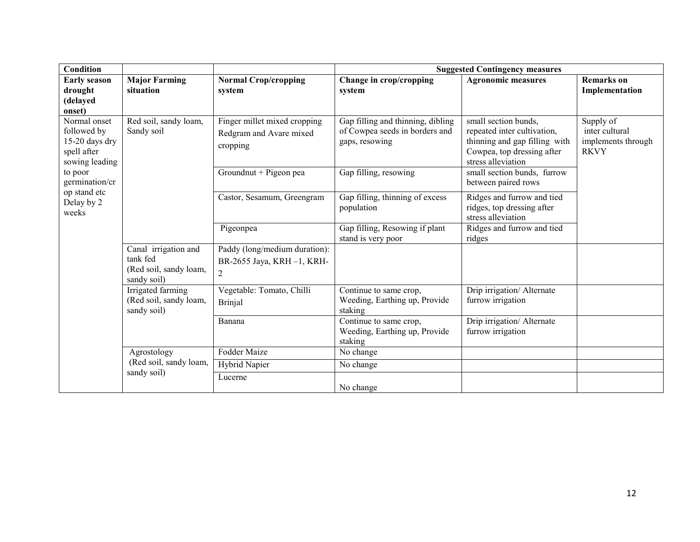| <b>Condition</b>            |                                       |                               |                                                                     | <b>Suggested Contingency measures</b>               |                             |
|-----------------------------|---------------------------------------|-------------------------------|---------------------------------------------------------------------|-----------------------------------------------------|-----------------------------|
| <b>Early season</b>         | <b>Major Farming</b>                  | <b>Normal Crop/cropping</b>   | Change in crop/cropping                                             | <b>Agronomic measures</b>                           | <b>Remarks</b> on           |
| drought                     | situation                             | system                        | system                                                              |                                                     | Implementation              |
| (delayed                    |                                       |                               |                                                                     |                                                     |                             |
| onset)                      |                                       |                               |                                                                     |                                                     |                             |
| Normal onset<br>followed by | Red soil, sandy loam,<br>Sandy soil   | Finger millet mixed cropping  | Gap filling and thinning, dibling<br>of Cowpea seeds in borders and | small section bunds,<br>repeated inter cultivation, | Supply of<br>inter cultural |
| 15-20 days dry              |                                       | Redgram and Avare mixed       | gaps, resowing                                                      | thinning and gap filling with                       | implements through          |
| spell after                 |                                       | cropping                      |                                                                     | Cowpea, top dressing after                          | <b>RKVY</b>                 |
| sowing leading              |                                       |                               |                                                                     | stress alleviation                                  |                             |
| to poor                     |                                       | Groundnut + Pigeon pea        | Gap filling, resowing                                               | small section bunds, furrow                         |                             |
| germination/cr              |                                       |                               |                                                                     | between paired rows                                 |                             |
| op stand etc                |                                       | Castor, Sesamum, Greengram    | Gap filling, thinning of excess                                     | Ridges and furrow and tied                          |                             |
| Delay by 2<br>weeks         |                                       |                               | population                                                          | ridges, top dressing after                          |                             |
|                             |                                       |                               |                                                                     | stress alleviation                                  |                             |
|                             |                                       | Pigeonpea                     | Gap filling, Resowing if plant                                      | Ridges and furrow and tied                          |                             |
|                             |                                       |                               | stand is very poor                                                  | ridges                                              |                             |
|                             | Canal irrigation and                  | Paddy (long/medium duration): |                                                                     |                                                     |                             |
|                             | tank fed                              | BR-2655 Jaya, KRH -1, KRH-    |                                                                     |                                                     |                             |
|                             | (Red soil, sandy loam,<br>sandy soil) | 2                             |                                                                     |                                                     |                             |
|                             | Irrigated farming                     | Vegetable: Tomato, Chilli     | Continue to same crop,                                              | Drip irrigation/ Alternate                          |                             |
|                             | (Red soil, sandy loam,                |                               | Weeding, Earthing up, Provide                                       | furrow irrigation                                   |                             |
|                             | sandy soil)                           | <b>Brinjal</b>                | staking                                                             |                                                     |                             |
|                             |                                       | Banana                        | Continue to same crop,                                              | Drip irrigation/ Alternate                          |                             |
|                             |                                       |                               | Weeding, Earthing up, Provide                                       | furrow irrigation                                   |                             |
|                             |                                       |                               | staking                                                             |                                                     |                             |
|                             | Agrostology                           | Fodder Maize                  | No change                                                           |                                                     |                             |
|                             | (Red soil, sandy loam,<br>sandy soil) | Hybrid Napier                 | No change                                                           |                                                     |                             |
|                             |                                       | Lucerne                       |                                                                     |                                                     |                             |
|                             |                                       |                               | No change                                                           |                                                     |                             |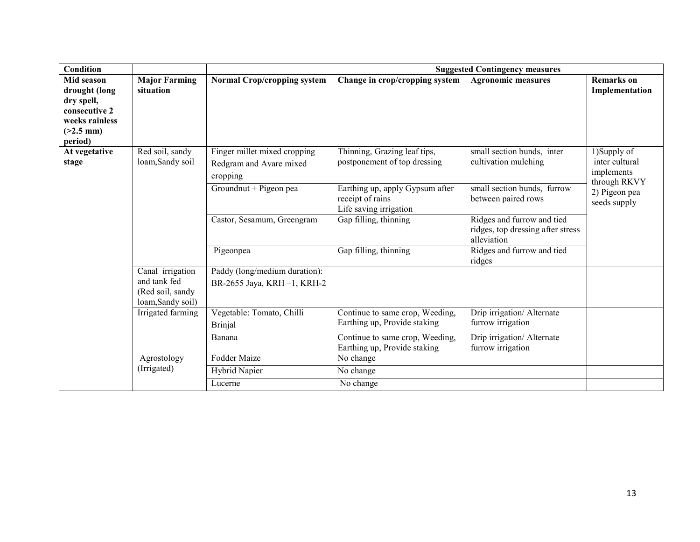| <b>Condition</b>                                                                                       |                                                                           |                                                                     |                                                                               | <b>Suggested Contingency measures</b>                                          |                                               |
|--------------------------------------------------------------------------------------------------------|---------------------------------------------------------------------------|---------------------------------------------------------------------|-------------------------------------------------------------------------------|--------------------------------------------------------------------------------|-----------------------------------------------|
| Mid season<br>drought (long<br>dry spell,<br>consecutive 2<br>weeks rainless<br>$(>2.5$ mm)<br>period) | <b>Major Farming</b><br>situation                                         | <b>Normal Crop/cropping system</b>                                  | Change in crop/cropping system                                                | <b>Agronomic measures</b>                                                      | <b>Remarks</b> on<br>Implementation           |
| At vegetative<br>stage                                                                                 | Red soil, sandy<br>loam, Sandy soil                                       | Finger millet mixed cropping<br>Redgram and Avare mixed<br>cropping | Thinning, Grazing leaf tips,<br>postponement of top dressing                  | small section bunds, inter<br>cultivation mulching                             | 1)Supply of<br>inter cultural<br>implements   |
|                                                                                                        |                                                                           | Groundnut + Pigeon pea                                              | Earthing up, apply Gypsum after<br>receipt of rains<br>Life saving irrigation | small section bunds, furrow<br>between paired rows                             | through RKVY<br>2) Pigeon pea<br>seeds supply |
|                                                                                                        |                                                                           | Castor, Sesamum, Greengram                                          | Gap filling, thinning                                                         | Ridges and furrow and tied<br>ridges, top dressing after stress<br>alleviation |                                               |
|                                                                                                        |                                                                           | Pigeonpea                                                           | Gap filling, thinning                                                         | Ridges and furrow and tied<br>ridges                                           |                                               |
|                                                                                                        | Canal irrigation<br>and tank fed<br>(Red soil, sandy<br>loam, Sandy soil) | Paddy (long/medium duration):<br>BR-2655 Jaya, KRH-1, KRH-2         |                                                                               |                                                                                |                                               |
|                                                                                                        | Irrigated farming                                                         | Vegetable: Tomato, Chilli<br><b>Brinjal</b>                         | Continue to same crop, Weeding,<br>Earthing up, Provide staking               | Drip irrigation/ Alternate<br>furrow irrigation                                |                                               |
|                                                                                                        |                                                                           | Banana                                                              | Continue to same crop, Weeding,<br>Earthing up, Provide staking               | Drip irrigation/ Alternate<br>furrow irrigation                                |                                               |
|                                                                                                        | Agrostology                                                               | Fodder Maize                                                        | No change                                                                     |                                                                                |                                               |
|                                                                                                        | (Irrigated)                                                               | Hybrid Napier                                                       | No change                                                                     |                                                                                |                                               |
|                                                                                                        |                                                                           | Lucerne                                                             | No change                                                                     |                                                                                |                                               |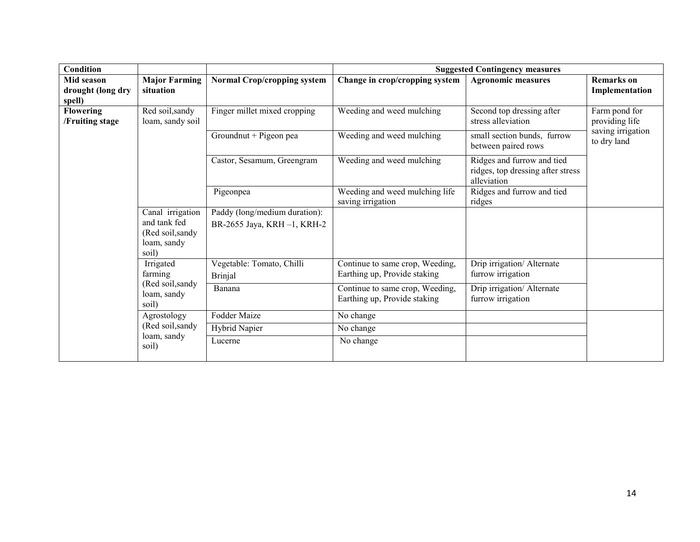| Condition                                 |                                                                              |                                                             |                                                                 | <b>Suggested Contingency measures</b>                                          |                                     |
|-------------------------------------------|------------------------------------------------------------------------------|-------------------------------------------------------------|-----------------------------------------------------------------|--------------------------------------------------------------------------------|-------------------------------------|
| Mid season<br>drought (long dry<br>spell) | <b>Major Farming</b><br>situation                                            | <b>Normal Crop/cropping system</b>                          | Change in crop/cropping system                                  | <b>Agronomic measures</b>                                                      | <b>Remarks</b> on<br>Implementation |
| <b>Flowering</b><br>/Fruiting stage       | Red soil, sandy<br>loam, sandy soil                                          | Finger millet mixed cropping                                | Weeding and weed mulching                                       | Second top dressing after<br>stress alleviation                                | Farm pond for<br>providing life     |
|                                           |                                                                              | Groundnut + Pigeon pea                                      | Weeding and weed mulching                                       | small section bunds, furrow<br>between paired rows                             | saving irrigation<br>to dry land    |
|                                           |                                                                              | Castor, Sesamum, Greengram                                  | Weeding and weed mulching                                       | Ridges and furrow and tied<br>ridges, top dressing after stress<br>alleviation |                                     |
|                                           |                                                                              | Pigeonpea                                                   | Weeding and weed mulching life<br>saving irrigation             | Ridges and furrow and tied<br>ridges                                           |                                     |
|                                           | Canal irrigation<br>and tank fed<br>(Red soil, sandy<br>loam, sandy<br>soil) | Paddy (long/medium duration):<br>BR-2655 Jaya, KRH-1, KRH-2 |                                                                 |                                                                                |                                     |
|                                           | Irrigated<br>farming<br>(Red soil, sandy<br>loam, sandy<br>soil)             | Vegetable: Tomato, Chilli<br><b>Brinjal</b>                 | Continue to same crop, Weeding,<br>Earthing up, Provide staking | Drip irrigation/ Alternate<br>furrow irrigation                                |                                     |
|                                           |                                                                              | Banana                                                      | Continue to same crop, Weeding,<br>Earthing up, Provide staking | Drip irrigation/ Alternate<br>furrow irrigation                                |                                     |
|                                           | Agrostology                                                                  | Fodder Maize                                                | No change                                                       |                                                                                |                                     |
|                                           | (Red soil, sandy<br>loam, sandy<br>soil)                                     | Hybrid Napier                                               | No change                                                       |                                                                                |                                     |
|                                           |                                                                              | Lucerne                                                     | No change                                                       |                                                                                |                                     |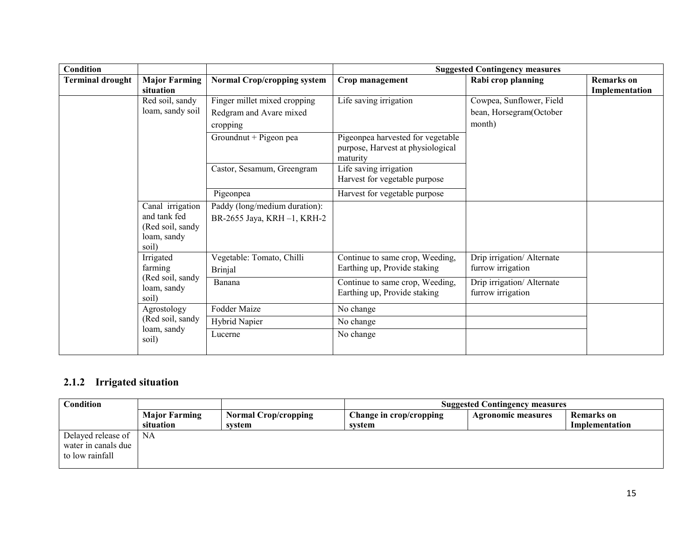| <b>Condition</b>        |                                                                              |                                                                     |                                                                                    | <b>Suggested Contingency measures</b>                         |                                     |
|-------------------------|------------------------------------------------------------------------------|---------------------------------------------------------------------|------------------------------------------------------------------------------------|---------------------------------------------------------------|-------------------------------------|
| <b>Terminal drought</b> | <b>Major Farming</b><br>situation                                            | <b>Normal Crop/cropping system</b>                                  | Crop management                                                                    | Rabi crop planning                                            | <b>Remarks</b> on<br>Implementation |
|                         | Red soil, sandy<br>loam, sandy soil                                          | Finger millet mixed cropping<br>Redgram and Avare mixed<br>cropping | Life saving irrigation                                                             | Cowpea, Sunflower, Field<br>bean, Horsegram(October<br>month) |                                     |
|                         |                                                                              | Groundnut + Pigeon pea                                              | Pigeonpea harvested for vegetable<br>purpose, Harvest at physiological<br>maturity |                                                               |                                     |
|                         |                                                                              | Castor, Sesamum, Greengram                                          | Life saving irrigation<br>Harvest for vegetable purpose                            |                                                               |                                     |
|                         |                                                                              | Pigeonpea                                                           | Harvest for vegetable purpose                                                      |                                                               |                                     |
|                         | Canal irrigation<br>and tank fed<br>(Red soil, sandy<br>loam, sandy<br>soil) | Paddy (long/medium duration):<br>BR-2655 Jaya, KRH-1, KRH-2         |                                                                                    |                                                               |                                     |
|                         | Irrigated<br>farming                                                         | Vegetable: Tomato, Chilli<br><b>Brinjal</b>                         | Continue to same crop, Weeding,<br>Earthing up, Provide staking                    | Drip irrigation/ Alternate<br>furrow irrigation               |                                     |
|                         | (Red soil, sandy<br>loam, sandy<br>soil)                                     | Banana                                                              | Continue to same crop, Weeding,<br>Earthing up, Provide staking                    | Drip irrigation/ Alternate<br>furrow irrigation               |                                     |
|                         | Agrostology                                                                  | Fodder Maize                                                        | No change                                                                          |                                                               |                                     |
|                         | (Red soil, sandy                                                             | Hybrid Napier                                                       | No change                                                                          |                                                               |                                     |
|                         | loam, sandy<br>soil)                                                         | Lucerne                                                             | No change                                                                          |                                                               |                                     |

## 2.1.2 Irrigated situation

| Condition           |                      |                             | <b>Suggested Contingency measures</b> |                    |                |  |
|---------------------|----------------------|-----------------------------|---------------------------------------|--------------------|----------------|--|
|                     | <b>Major Farming</b> | <b>Normal Crop/cropping</b> | Change in crop/cropping               | Agronomic measures | Remarks on     |  |
|                     | situation            | system                      | system                                |                    | Implementation |  |
| Delayed release of  | NA                   |                             |                                       |                    |                |  |
| water in canals due |                      |                             |                                       |                    |                |  |
| to low rainfall     |                      |                             |                                       |                    |                |  |
|                     |                      |                             |                                       |                    |                |  |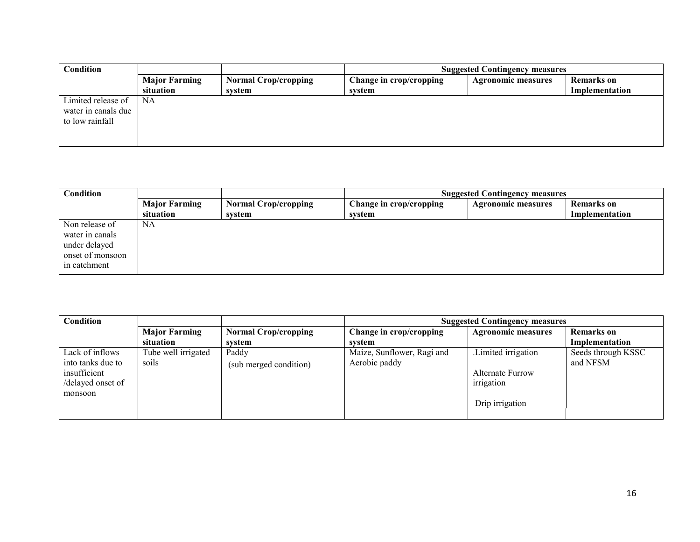| Condition                                                    |                      |                             |                         | <b>Suggested Contingency measures</b> |                   |
|--------------------------------------------------------------|----------------------|-----------------------------|-------------------------|---------------------------------------|-------------------|
|                                                              | <b>Major Farming</b> | <b>Normal Crop/cropping</b> | Change in crop/cropping | <b>Agronomic measures</b>             | <b>Remarks</b> on |
|                                                              | situation            | svstem                      | svstem                  |                                       | Implementation    |
| Limited release of<br>water in canals due<br>to low rainfall | NA                   |                             |                         |                                       |                   |

| Condition        |                      |                             | <b>Suggested Contingency measures</b> |                           |                       |  |  |  |  |
|------------------|----------------------|-----------------------------|---------------------------------------|---------------------------|-----------------------|--|--|--|--|
|                  | <b>Major Farming</b> | <b>Normal Crop/cropping</b> | Change in crop/cropping               | <b>Agronomic measures</b> | <b>Remarks</b> on     |  |  |  |  |
|                  | situation            | system                      | system                                |                           | <b>Implementation</b> |  |  |  |  |
| Non release of   | NA                   |                             |                                       |                           |                       |  |  |  |  |
| water in canals  |                      |                             |                                       |                           |                       |  |  |  |  |
| under delayed    |                      |                             |                                       |                           |                       |  |  |  |  |
| onset of monsoon |                      |                             |                                       |                           |                       |  |  |  |  |
| in catchment     |                      |                             |                                       |                           |                       |  |  |  |  |
|                  |                      |                             |                                       |                           |                       |  |  |  |  |

| <b>Condition</b>                                                                     |                              |                                 |                                             | <b>Suggested Contingency measures</b>                                          |                                |
|--------------------------------------------------------------------------------------|------------------------------|---------------------------------|---------------------------------------------|--------------------------------------------------------------------------------|--------------------------------|
|                                                                                      | <b>Major Farming</b>         | <b>Normal Crop/cropping</b>     | Change in crop/cropping                     | <b>Agronomic measures</b>                                                      | <b>Remarks</b> on              |
|                                                                                      | situation                    | system                          | system                                      |                                                                                | Implementation                 |
| Lack of inflows<br>into tanks due to<br>insufficient<br>/delayed onset of<br>monsoon | Tube well irrigated<br>soils | Paddy<br>(sub merged condition) | Maize, Sunflower, Ragi and<br>Aerobic paddy | Limited irrigation<br><b>Alternate Furrow</b><br>irrigation<br>Drip irrigation | Seeds through KSSC<br>and NFSM |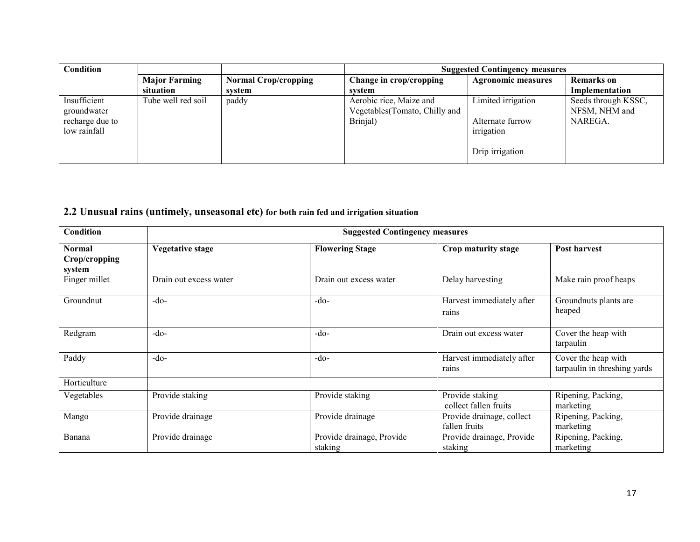| Condition                                                      |                                                     |        | <b>Suggested Contingency measures</b>                                 |                                                                         |                                                 |  |  |  |
|----------------------------------------------------------------|-----------------------------------------------------|--------|-----------------------------------------------------------------------|-------------------------------------------------------------------------|-------------------------------------------------|--|--|--|
|                                                                | <b>Major Farming</b><br><b>Normal Crop/cropping</b> |        | Change in crop/cropping                                               | <b>Agronomic measures</b>                                               | <b>Remarks</b> on                               |  |  |  |
|                                                                | situation                                           | svstem | system                                                                |                                                                         | Implementation                                  |  |  |  |
| Insufficient<br>groundwater<br>recharge due to<br>low rainfall | Tube well red soil                                  | paddy  | Aerobic rice, Maize and<br>Vegetables (Tomato, Chilly and<br>Brinjal) | Limited irrigation<br>Alternate furrow<br>irrigation<br>Drip irrigation | Seeds through KSSC,<br>NFSM, NHM and<br>NAREGA. |  |  |  |

## 2.2 Unusual rains (untimely, unseasonal etc) for both rain fed and irrigation situation

| <b>Condition</b>                  |                         | <b>Suggested Contingency measures</b> |                                            |                                                     |
|-----------------------------------|-------------------------|---------------------------------------|--------------------------------------------|-----------------------------------------------------|
| Normal<br>Crop/cropping<br>system | <b>Vegetative stage</b> | <b>Flowering Stage</b>                | Crop maturity stage                        | Post harvest                                        |
| Finger millet                     | Drain out excess water  | Drain out excess water                | Delay harvesting                           | Make rain proof heaps                               |
| Groundnut                         | $-do-$                  | $-do-$                                | Harvest immediately after<br>rains         | Groundnuts plants are<br>heaped                     |
| Redgram                           | $-do$                   | $-do-$                                | Drain out excess water                     | Cover the heap with<br>tarpaulin                    |
| Paddy                             | $-do$                   | $-do-$                                | Harvest immediately after<br>rains         | Cover the heap with<br>tarpaulin in threshing yards |
| Horticulture                      |                         |                                       |                                            |                                                     |
| Vegetables                        | Provide staking         | Provide staking                       | Provide staking<br>collect fallen fruits   | Ripening, Packing,<br>marketing                     |
| Mango                             | Provide drainage        | Provide drainage                      | Provide drainage, collect<br>fallen fruits | Ripening, Packing,<br>marketing                     |
| Banana                            | Provide drainage        | Provide drainage, Provide<br>staking  | Provide drainage, Provide<br>staking       | Ripening, Packing,<br>marketing                     |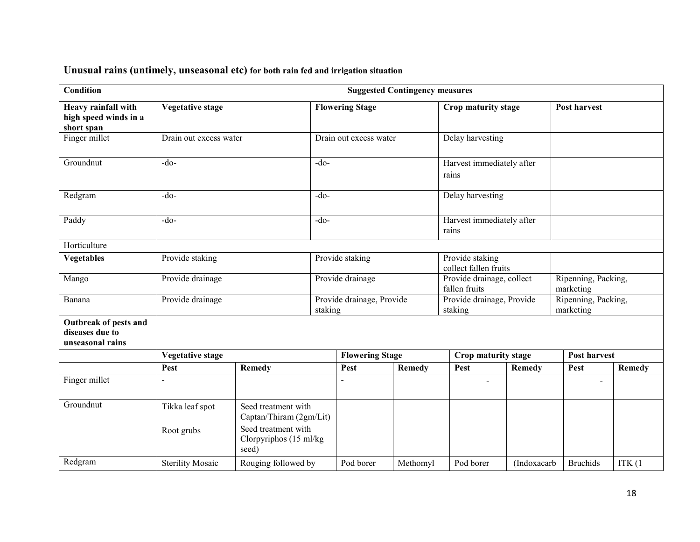| <b>Condition</b>                                             |                               |                                                     |                                                   |                                      |                                    | <b>Suggested Contingency measures</b>      |               |                                  |               |  |
|--------------------------------------------------------------|-------------------------------|-----------------------------------------------------|---------------------------------------------------|--------------------------------------|------------------------------------|--------------------------------------------|---------------|----------------------------------|---------------|--|
| Heavy rainfall with<br>high speed winds in a<br>short span   | <b>Vegetative stage</b>       |                                                     |                                                   | <b>Flowering Stage</b>               |                                    | Crop maturity stage                        |               | <b>Post harvest</b>              |               |  |
| Finger millet                                                | Drain out excess water        |                                                     |                                                   | Drain out excess water               |                                    | Delay harvesting                           |               |                                  |               |  |
| Groundnut                                                    | $-do-$                        |                                                     | $-do-$                                            |                                      | Harvest immediately after<br>rains |                                            |               |                                  |               |  |
| Redgram                                                      | $-do$                         | $-do$                                               |                                                   |                                      |                                    | Delay harvesting                           |               |                                  |               |  |
| Paddy                                                        | $-do$                         | $-do$                                               |                                                   |                                      |                                    | Harvest immediately after<br>rains         |               |                                  |               |  |
| Horticulture                                                 |                               |                                                     |                                                   |                                      |                                    |                                            |               |                                  |               |  |
| <b>Vegetables</b>                                            | Provide staking               |                                                     |                                                   | Provide staking                      |                                    | Provide staking<br>collect fallen fruits   |               |                                  |               |  |
| Mango                                                        | Provide drainage              |                                                     |                                                   | Provide drainage                     |                                    | Provide drainage, collect<br>fallen fruits |               | Ripenning, Packing,<br>marketing |               |  |
| Banana                                                       | Provide drainage              |                                                     |                                                   | Provide drainage, Provide<br>staking |                                    | Provide drainage, Provide<br>staking       |               | Ripenning, Packing,<br>marketing |               |  |
| Outbreak of pests and<br>diseases due to<br>unseasonal rains |                               |                                                     |                                                   |                                      |                                    |                                            |               |                                  |               |  |
|                                                              | <b>Vegetative stage</b>       |                                                     |                                                   | <b>Flowering Stage</b>               |                                    | Crop maturity stage                        |               | Post harvest                     |               |  |
|                                                              | Pest                          | <b>Remedy</b>                                       |                                                   | Pest                                 | <b>Remedy</b>                      | Pest                                       | <b>Remedy</b> | Pest                             | <b>Remedy</b> |  |
| Finger millet                                                |                               |                                                     |                                                   |                                      |                                    | $\blacksquare$                             |               | $\overline{a}$                   |               |  |
| Groundnut                                                    | Tikka leaf spot<br>Root grubs | Seed treatment with<br>Seed treatment with<br>seed) | Captan/Thiram (2gm/Lit)<br>Clorpyriphos (15 ml/kg |                                      |                                    |                                            |               |                                  |               |  |
| Redgram                                                      | <b>Sterility Mosaic</b>       | Rouging followed by                                 |                                                   | Pod borer                            | Methomyl                           | Pod borer                                  | (Indoxacarb   | <b>Bruchids</b>                  | ITK(1)        |  |

## Unusual rains (untimely, unseasonal etc) for both rain fed and irrigation situation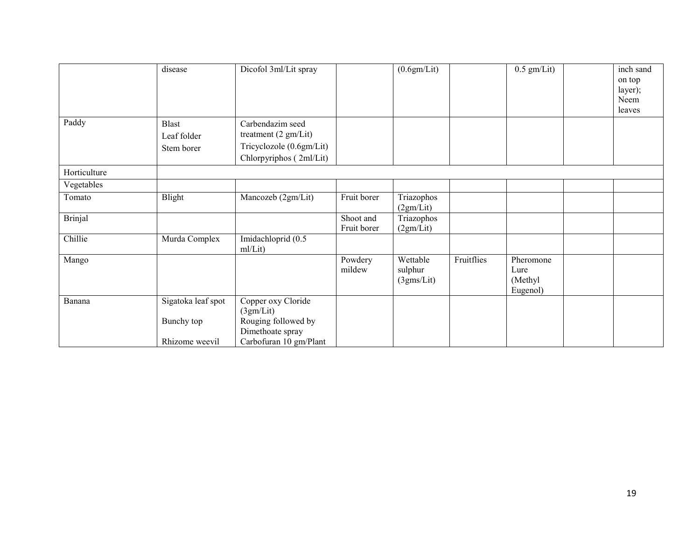|                | disease            | Dicofol 3ml/Lit spray          |             | (0.6gm/Lit) |            | $0.5$ gm/Lit) | inch sand |
|----------------|--------------------|--------------------------------|-------------|-------------|------------|---------------|-----------|
|                |                    |                                |             |             |            |               | on top    |
|                |                    |                                |             |             |            |               | layer);   |
|                |                    |                                |             |             |            |               | Neem      |
|                |                    |                                |             |             |            |               | leaves    |
| Paddy          | <b>Blast</b>       | Carbendazim seed               |             |             |            |               |           |
|                | Leaf folder        | treatment $(2 \text{ gm/Lit})$ |             |             |            |               |           |
|                | Stem borer         | Tricyclozole (0.6gm/Lit)       |             |             |            |               |           |
|                |                    | Chlorpyriphos (2ml/Lit)        |             |             |            |               |           |
| Horticulture   |                    |                                |             |             |            |               |           |
| Vegetables     |                    |                                |             |             |            |               |           |
| Tomato         | Blight             | Mancozeb (2gm/Lit)             | Fruit borer | Triazophos  |            |               |           |
|                |                    |                                |             | (2gm/Lit)   |            |               |           |
| <b>Brinjal</b> |                    |                                | Shoot and   | Triazophos  |            |               |           |
|                |                    |                                | Fruit borer | (2gm/Lit)   |            |               |           |
| Chillie        | Murda Complex      | Imidachloprid (0.5<br>ml/Lit)  |             |             |            |               |           |
| Mango          |                    |                                | Powdery     | Wettable    | Fruitflies | Pheromone     |           |
|                |                    |                                | mildew      | sulphur     |            | Lure          |           |
|                |                    |                                |             | (3gms/Lit)  |            | (Methyl       |           |
|                |                    |                                |             |             |            | Eugenol)      |           |
| Banana         | Sigatoka leaf spot | Copper oxy Cloride             |             |             |            |               |           |
|                |                    | (3gm/Lit)                      |             |             |            |               |           |
|                | Bunchy top         | Rouging followed by            |             |             |            |               |           |
|                |                    | Dimethoate spray               |             |             |            |               |           |
|                | Rhizome weevil     | Carbofuran 10 gm/Plant         |             |             |            |               |           |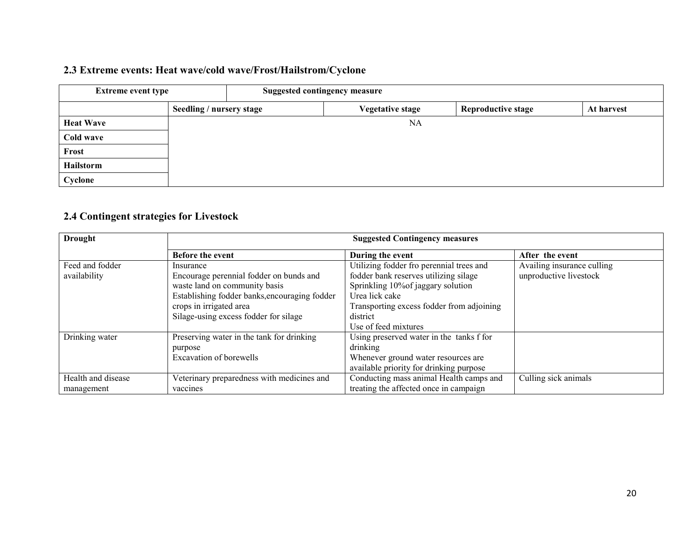## 2.3 Extreme events: Heat wave/cold wave/Frost/Hailstrom/Cyclone

| <b>Extreme event type</b> |                          |  | <b>Suggested contingency measure</b> |                           |            |
|---------------------------|--------------------------|--|--------------------------------------|---------------------------|------------|
|                           | Seedling / nursery stage |  | Vegetative stage                     | <b>Reproductive stage</b> | At harvest |
| <b>Heat Wave</b>          |                          |  | NA                                   |                           |            |
| Cold wave                 |                          |  |                                      |                           |            |
| Frost                     |                          |  |                                      |                           |            |
| Hailstorm                 |                          |  |                                      |                           |            |
| Cyclone                   |                          |  |                                      |                           |            |

## 2.4 Contingent strategies for Livestock

| Drought            | <b>Suggested Contingency measures</b>         |                                           |                            |  |  |  |  |  |  |
|--------------------|-----------------------------------------------|-------------------------------------------|----------------------------|--|--|--|--|--|--|
|                    | <b>Before the event</b>                       | During the event                          | After the event            |  |  |  |  |  |  |
| Feed and fodder    | Insurance                                     | Utilizing fodder fro perennial trees and  | Availing insurance culling |  |  |  |  |  |  |
| availability       | Encourage perennial fodder on bunds and       | fodder bank reserves utilizing silage     | unproductive livestock     |  |  |  |  |  |  |
|                    | waste land on community basis                 | Sprinkling 10% of jaggary solution        |                            |  |  |  |  |  |  |
|                    | Establishing fodder banks, encouraging fodder | Urea lick cake                            |                            |  |  |  |  |  |  |
|                    | crops in irrigated area                       | Transporting excess fodder from adjoining |                            |  |  |  |  |  |  |
|                    | Silage-using excess fodder for silage         | district                                  |                            |  |  |  |  |  |  |
|                    |                                               | Use of feed mixtures                      |                            |  |  |  |  |  |  |
| Drinking water     | Preserving water in the tank for drinking     | Using preserved water in the tanks f for  |                            |  |  |  |  |  |  |
|                    | purpose                                       | drinking                                  |                            |  |  |  |  |  |  |
|                    | Excavation of borewells                       | Whenever ground water resources are       |                            |  |  |  |  |  |  |
|                    |                                               | available priority for drinking purpose   |                            |  |  |  |  |  |  |
| Health and disease | Veterinary preparedness with medicines and    | Conducting mass animal Health camps and   | Culling sick animals       |  |  |  |  |  |  |
| management         | vaccines                                      | treating the affected once in campaign    |                            |  |  |  |  |  |  |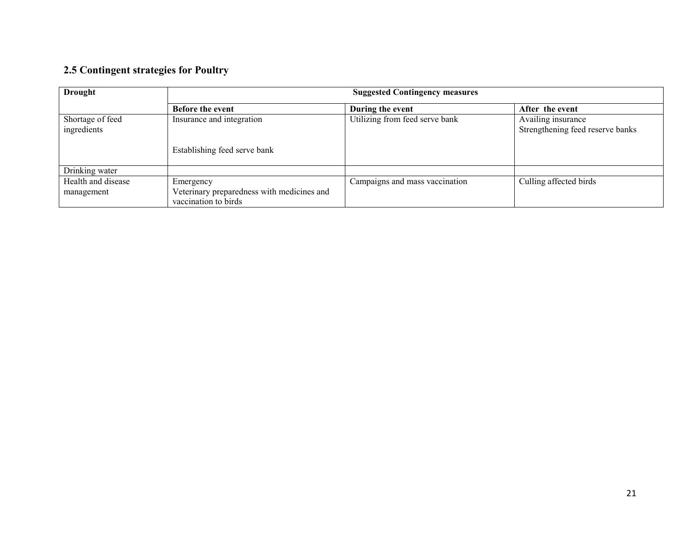## 2.5 Contingent strategies for Poultry

| <b>Drought</b>                  |                                                                    | <b>Suggested Contingency measures</b> |                                                        |  |  |  |
|---------------------------------|--------------------------------------------------------------------|---------------------------------------|--------------------------------------------------------|--|--|--|
|                                 | Before the event                                                   | During the event                      | After the event                                        |  |  |  |
| Shortage of feed<br>ingredients | Insurance and integration                                          | Utilizing from feed serve bank        | Availing insurance<br>Strengthening feed reserve banks |  |  |  |
|                                 | Establishing feed serve bank                                       |                                       |                                                        |  |  |  |
| Drinking water                  |                                                                    |                                       |                                                        |  |  |  |
| Health and disease              | Emergency                                                          | Campaigns and mass vaccination        | Culling affected birds                                 |  |  |  |
| management                      | Veterinary preparedness with medicines and<br>vaccination to birds |                                       |                                                        |  |  |  |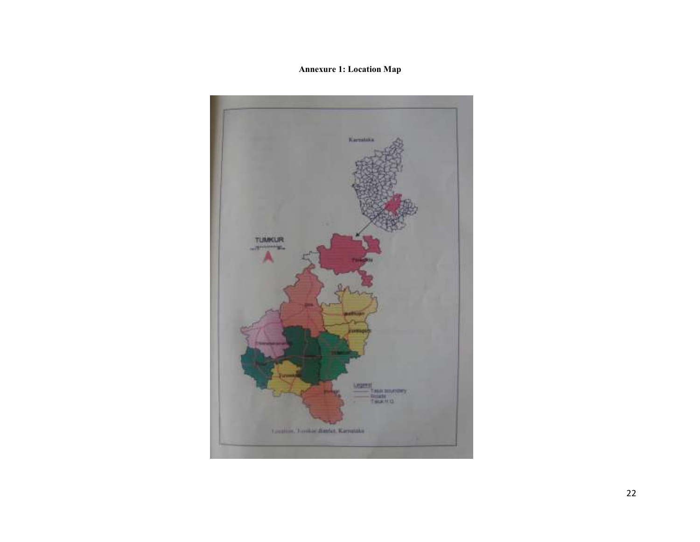## Annexure 1: Location Map

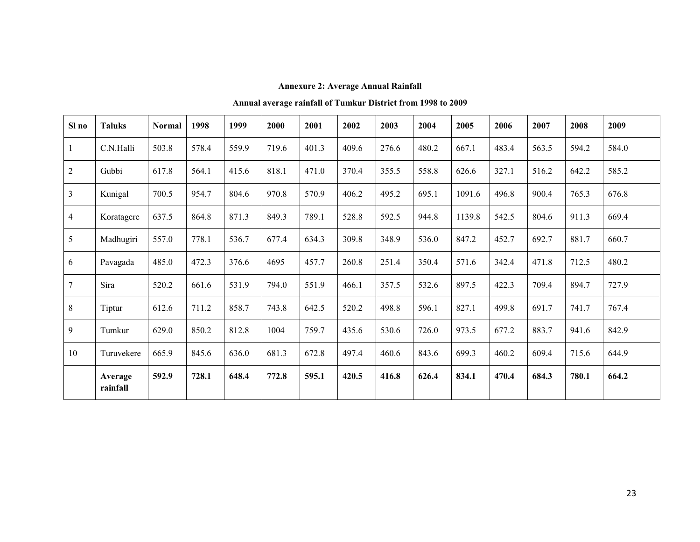| <b>Annexure 2: Average Annual Rainfall</b> |  |
|--------------------------------------------|--|
|--------------------------------------------|--|

### Annual average rainfall of Tumkur District from 1998 to 2009

| Sl no          | <b>Taluks</b>       | <b>Normal</b> | 1998  | 1999  | 2000  | 2001  | 2002  | 2003  | 2004  | 2005   | 2006  | 2007  | 2008  | 2009  |
|----------------|---------------------|---------------|-------|-------|-------|-------|-------|-------|-------|--------|-------|-------|-------|-------|
|                | C.N.Halli           | 503.8         | 578.4 | 559.9 | 719.6 | 401.3 | 409.6 | 276.6 | 480.2 | 667.1  | 483.4 | 563.5 | 594.2 | 584.0 |
| $\overline{2}$ | Gubbi               | 617.8         | 564.1 | 415.6 | 818.1 | 471.0 | 370.4 | 355.5 | 558.8 | 626.6  | 327.1 | 516.2 | 642.2 | 585.2 |
| $\overline{3}$ | Kunigal             | 700.5         | 954.7 | 804.6 | 970.8 | 570.9 | 406.2 | 495.2 | 695.1 | 1091.6 | 496.8 | 900.4 | 765.3 | 676.8 |
| $\overline{4}$ | Koratagere          | 637.5         | 864.8 | 871.3 | 849.3 | 789.1 | 528.8 | 592.5 | 944.8 | 1139.8 | 542.5 | 804.6 | 911.3 | 669.4 |
| 5              | Madhugiri           | 557.0         | 778.1 | 536.7 | 677.4 | 634.3 | 309.8 | 348.9 | 536.0 | 847.2  | 452.7 | 692.7 | 881.7 | 660.7 |
| 6              | Pavagada            | 485.0         | 472.3 | 376.6 | 4695  | 457.7 | 260.8 | 251.4 | 350.4 | 571.6  | 342.4 | 471.8 | 712.5 | 480.2 |
| $\tau$         | Sira                | 520.2         | 661.6 | 531.9 | 794.0 | 551.9 | 466.1 | 357.5 | 532.6 | 897.5  | 422.3 | 709.4 | 894.7 | 727.9 |
| $\,8\,$        | Tiptur              | 612.6         | 711.2 | 858.7 | 743.8 | 642.5 | 520.2 | 498.8 | 596.1 | 827.1  | 499.8 | 691.7 | 741.7 | 767.4 |
| 9              | Tumkur              | 629.0         | 850.2 | 812.8 | 1004  | 759.7 | 435.6 | 530.6 | 726.0 | 973.5  | 677.2 | 883.7 | 941.6 | 842.9 |
| 10             | Turuvekere          | 665.9         | 845.6 | 636.0 | 681.3 | 672.8 | 497.4 | 460.6 | 843.6 | 699.3  | 460.2 | 609.4 | 715.6 | 644.9 |
|                | Average<br>rainfall | 592.9         | 728.1 | 648.4 | 772.8 | 595.1 | 420.5 | 416.8 | 626.4 | 834.1  | 470.4 | 684.3 | 780.1 | 664.2 |